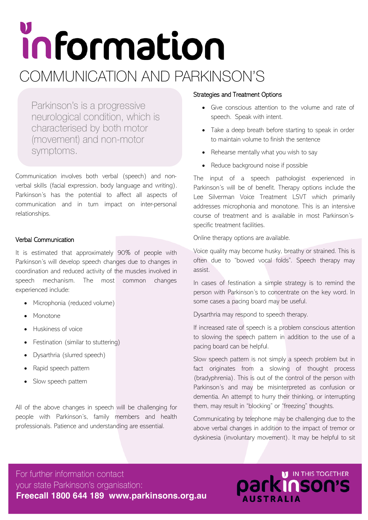# information COMMUNICATION AND PARKINSON'S

Parkinson's is a progressive neurological condition, which is characterised by both motor (movement) and non-motor symptoms.

Communication involves both verbal (speech) and nonverbal skills (facial expression, body language and writing). Parkinson's has the potential to affect all aspects of communication and in turn impact on inter-personal relationships.

### Verbal Communication

It is estimated that approximately 90% of people with Parkinson's will develop speech changes due to changes in coordination and reduced activity of the muscles involved in speech mechanism. The most common changes experienced include:

- Microphonia (reduced volume)
- Monotone
- Huskiness of voice
- Festination (similar to stuttering)
- Dysarthria (slurred speech)
- Rapid speech pattern
- Slow speech pattern

All of the above changes in speech will be challenging for people with Parkinson's, family members and health professionals. Patience and understanding are essential.

### Strategies and Treatment Options

- Give conscious attention to the volume and rate of speech. Speak with intent.
- Take a deep breath before starting to speak in order to maintain volume to finish the sentence
- Rehearse mentally what you wish to say
- Reduce background noise if possible

The input of a speech pathologist experienced in Parkinson's will be of benefit. Therapy options include the Lee Silverman Voice Treatment LSVT which primarily addresses microphonia and monotone. This is an intensive course of treatment and is available in most Parkinson'sspecific treatment facilities.

Online therapy options are available.

Voice quality may become husky, breathy or strained. This is often due to "bowed vocal folds". Speech therapy may assist.

In cases of festination a simple strategy is to remind the person with Parkinson's to concentrate on the key word. In some cases a pacing board may be useful.

Dysarthria may respond to speech therapy.

If increased rate of speech is a problem conscious attention to slowing the speech pattern in addition to the use of a pacing board can be helpful.

Slow speech pattern is not simply a speech problem but in fact originates from a slowing of thought process (bradyphrenia). This is out of the control of the person with Parkinson's and may be misinterpreted as confusion or dementia. An attempt to hurry their thinking, or interrupting them, may result in "blocking" or "freezing" thoughts.

Communicating by telephone may be challenging due to the above verbal changes in addition to the impact of tremor or dyskinesia (involuntary movement). It may be helpful to sit

For further information contact your state Parkinson's organisation: **Freecall 1800 644 189 www.parkinsons.org.au**

## **Parkinson's AUSTRALIA**